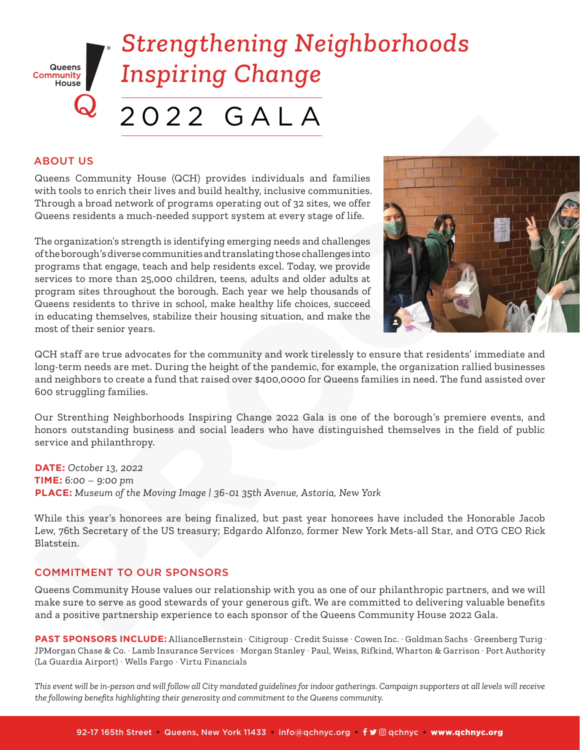

#### ABOUT US

Queens Community House (QCH) provides individuals and families with tools to enrich their lives and build healthy, inclusive communities. Through a broad network of programs operating out of 32 sites, we offer Queens residents a much-needed support system at every stage of life.

The organization's strength is identifying emerging needs and challenges of the borough's diverse communities and translating those challenges into programs that engage, teach and help residents excel. Today, we provide services to more than 25,000 children, teens, adults and older adults at program sites throughout the borough. Each year we help thousands of Queens residents to thrive in school, make healthy life choices, succeed in educating themselves, stabilize their housing situation, and make the most of their senior years.



QCH staff are true advocates for the community and work tirelessly to ensure that residents' immediate and long-term needs are met. During the height of the pandemic, for example, the organization rallied businesses and neighbors to create a fund that raised over \$400,0000 for Queens families in need. The fund assisted over 600 struggling families.

Our Strenthing Neighborhoods Inspiring Change 2022 Gala is one of the borough's premiere events, and honors outstanding business and social leaders who have distinguished themselves in the field of public service and philanthropy.

**DATE:** *October 13, 2022*  **TIME:** *6:00 – 9:00 pm* **PLACE:** *Museum of the Moving Image | 36-01 35th Avenue, Astoria, New York* 

While this year's honorees are being finalized, but past year honorees have included the Honorable Jacob Lew, 76th Secretary of the US treasury; Edgardo Alfonzo, former New York Mets-all Star, and OTG CEO Rick Blatstein.

#### COMMITMENT TO OUR SPONSORS

Queens Community House values our relationship with you as one of our philanthropic partners, and we will make sure to serve as good stewards of your generous gift. We are committed to delivering valuable benefits and a positive partnership experience to each sponsor of the Queens Community House 2022 Gala.

PAST SPONSORS INCLUDE: AllianceBernstein · Citigroup · Credit Suisse · Cowen Inc. · Goldman Sachs · Greenberg Turig · JPMorgan Chase & Co. · Lamb Insurance Services · Morgan Stanley · Paul, Weiss, Rifkind, Wharton & Garrison · Port Authority (La Guardia Airport) · Wells Fargo · Virtu Financials

*This event will be in-person and will follow all City mandated guidelines for indoor gatherings. Campaign supporters at all levels will receive the following benefits highlighting their generosity and commitment to the Queens community.*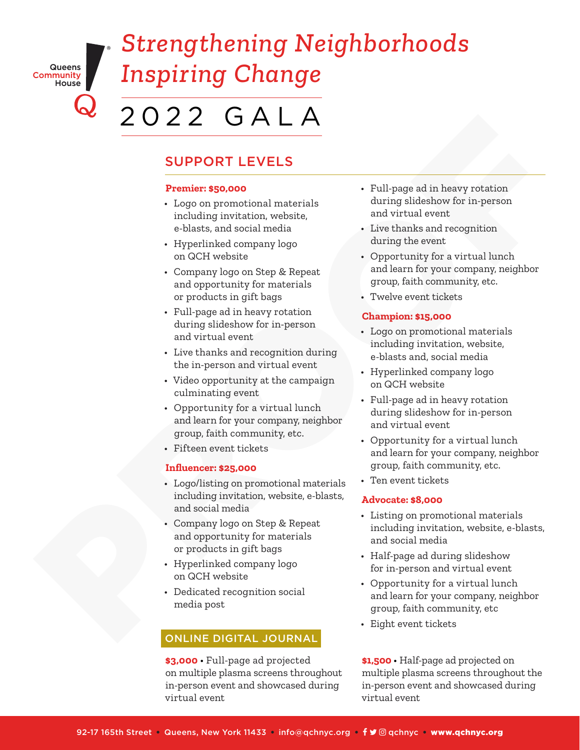Queens Community<br>|<br>|House

# *Strengthening Neighborhoods Inspiring Change*

### SUPPORT LEVELS

#### **Premier: \$50,000**

- Logo on promotional materials including invitation, website, e-blasts, and social media
- Hyperlinked company logo on QCH website
- Company logo on Step & Repeat and opportunity for materials or products in gift bags
- Full-page ad in heavy rotation during slideshow for in-person and virtual event
- Live thanks and recognition during the in-person and virtual event
- Video opportunity at the campaign culminating event
- Opportunity for a virtual lunch and learn for your company, neighbor group, faith community, etc.
- Fifteen event tickets

#### **Influencer: \$25,000**

- Logo/listing on promotional materials including invitation, website, e-blasts, and social media
- Company logo on Step & Repeat and opportunity for materials or products in gift bags
- Hyperlinked company logo on QCH website
- Dedicated recognition social media post

#### ONLINE DIGITAL JOURNAL

**\$3,000** • Full-page ad projected on multiple plasma screens throughout in-person event and showcased during virtual event

- Full-page ad in heavy rotation during slideshow for in-person and virtual event
- Live thanks and recognition during the event
- Opportunity for a virtual lunch and learn for your company, neighbor group, faith community, etc.
- Twelve event tickets

#### **Champion: \$15,000**

- Logo on promotional materials including invitation, website, e-blasts and, social media
- Hyperlinked company logo on QCH website
- Full-page ad in heavy rotation during slideshow for in-person and virtual event
- Opportunity for a virtual lunch and learn for your company, neighbor group, faith community, etc.
- Ten event tickets

#### **Advocate: \$8,000**

- Listing on promotional materials including invitation, website, e-blasts, and social media  $\begin{tabular}{l|c|c|c|c} \hline & $\mathsf{Q$} & $\mathsf{Q$} & $\mathsf{Q$} & $\mathsf{Q$} & $\mathsf{Q$} & $\mathsf{Q$} & $\mathsf{Q$} & $\mathsf{Q$} & $\mathsf{Q$} & $\mathsf{Q}$ \\ \hline & $\mathsf{Supnum} \text{ is a non-constant} & $\mathsf{Supnum} \text{ is a non-constant} \\ & $\mathsf{lequation} \text{ is a non-constant} \\ & $\mathsf{inquation} \text{ is a non-constant} \\ & $\mathsf{inquation} \text{ is a non-constant} \\ & $\mathsf{inquation} \text{ is a non-constant} \\ & $\mathsf{inqu$ 
	- Half-page ad during slideshow for in-person and virtual event
	- Opportunity for a virtual lunch and learn for your company, neighbor group, faith community, etc
	- Eight event tickets

**\$1,500** • Half-page ad projected on multiple plasma screens throughout the in-person event and showcased during virtual event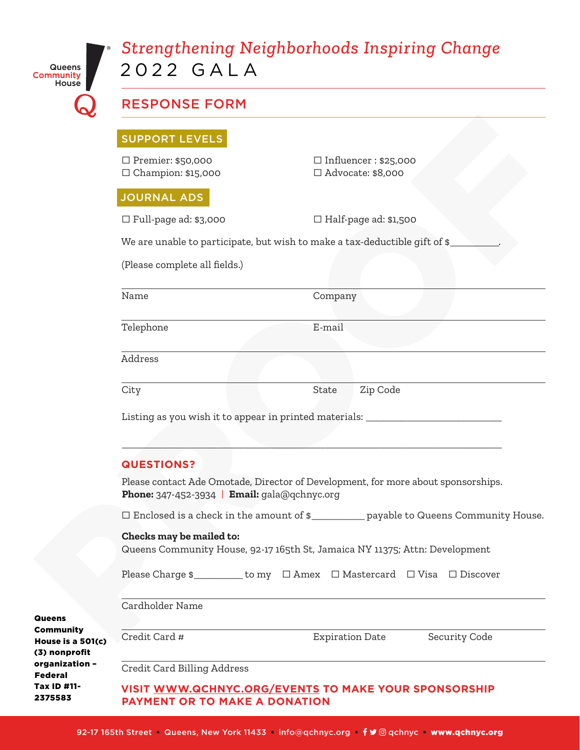| Queens    |  |
|-----------|--|
| Community |  |
| House     |  |

## *Strengthening Neighborhoods Inspiring Change* 2022 GALA

| House $\blacksquare$               |                                                                                                                                   |                                                          |  |
|------------------------------------|-----------------------------------------------------------------------------------------------------------------------------------|----------------------------------------------------------|--|
|                                    | <b>RESPONSE FORM</b>                                                                                                              |                                                          |  |
|                                    | <b>SUPPORT LEVELS</b>                                                                                                             |                                                          |  |
|                                    | $\Box$ Premier: \$50,000<br>$\Box$ Champion: \$15,000                                                                             | $\Box$ Influencer : \$25,000<br>$\Box$ Advocate: \$8,000 |  |
|                                    | <b>JOURNAL ADS</b>                                                                                                                |                                                          |  |
|                                    | $\Box$ Full-page ad: \$3,000                                                                                                      | $\Box$ Half-page ad: \$1,500                             |  |
|                                    | We are unable to participate, but wish to make a tax-deductible gift of \$_                                                       |                                                          |  |
|                                    | (Please complete all fields.)                                                                                                     |                                                          |  |
|                                    | Name                                                                                                                              | Company                                                  |  |
|                                    | Telephone                                                                                                                         | E-mail                                                   |  |
|                                    | Address                                                                                                                           |                                                          |  |
|                                    | City                                                                                                                              | Zip Code<br>State                                        |  |
|                                    | Listing as you wish it to appear in printed materials: _________________________                                                  |                                                          |  |
|                                    |                                                                                                                                   |                                                          |  |
|                                    | <b>QUESTIONS?</b>                                                                                                                 |                                                          |  |
|                                    | Please contact Ade Omotade, Director of Development, for more about sponsorships.<br>Phone: 347-452-3934   Email: gala@qchnyc.org |                                                          |  |
|                                    | $\Box$ Enclosed is a check in the amount of $\mathsf{S}$ _____________payable to Queens Community House.                          |                                                          |  |
|                                    | Checks may be mailed to:<br>Queens Community House, 92-17 165th St, Jamaica NY 11375; Attn: Development                           |                                                          |  |
|                                    | Please Charge \$________ to my □ Amex □ Mastercard □ Visa □ Discover                                                              |                                                          |  |
|                                    | Cardholder Name                                                                                                                   |                                                          |  |
| <b>Queens</b><br><b>Community</b>  |                                                                                                                                   |                                                          |  |
| House is a 501(c)<br>(3) nonprofit | Credit Card #                                                                                                                     | <b>Expiration Date</b><br>Security Code                  |  |
| organization -<br>Eadaral          | Credit Card Billing Address                                                                                                       |                                                          |  |

**VISIT [WWW.QCHNYC.ORG](http://www.qchnyc.org/events)/EVENTS TO MAKE YOUR SPONSORSHIP PAYMENT OR TO MAKE A DONATION** Federal Tax ID #11- 2375583